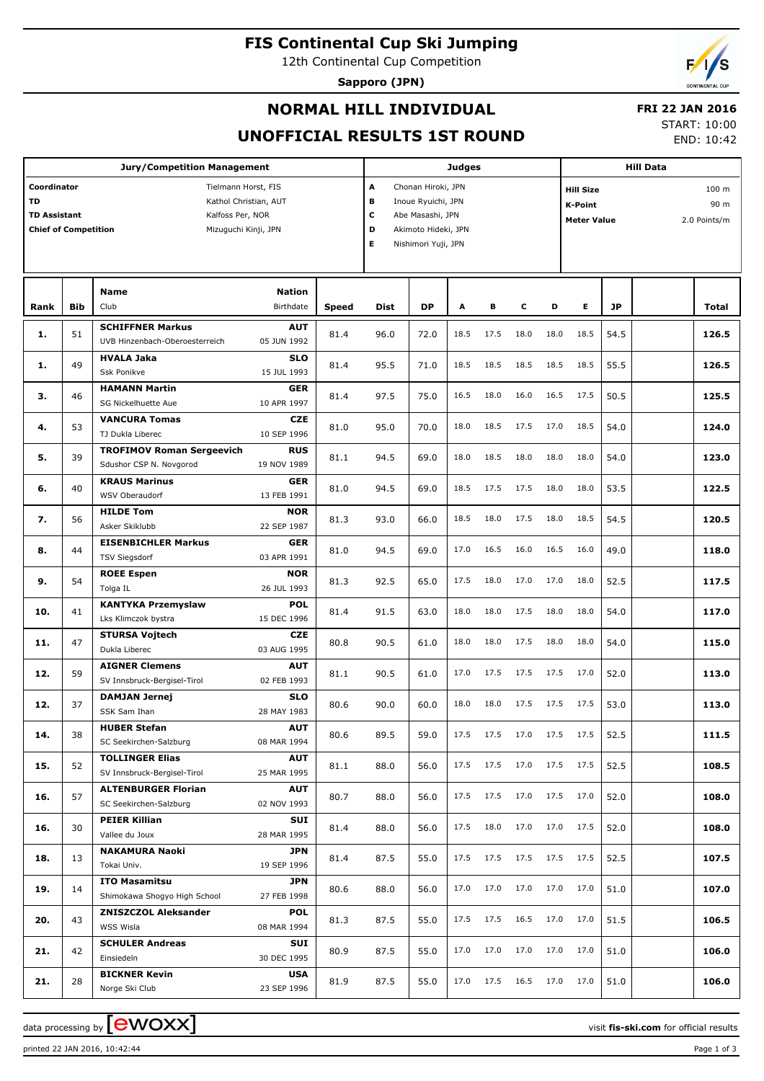**FIS Continental Cup Ski Jumping**

12th Continental Cup Competition

**Sapporo (JPN)**



### **NORMAL HILL INDIVIDUAL**

# **FRI 22 JAN 2016**

#### **UNOFFICIAL RESULTS 1ST ROUND**

START: 10:00

END: 10:42

|                                                                                                                                                                            |            | <b>Jury/Competition Management</b>                              |                                          |              |                                                                                                                                     |           | <b>Judges</b> |      |      |      |                                                                                                        |           |  |              |
|----------------------------------------------------------------------------------------------------------------------------------------------------------------------------|------------|-----------------------------------------------------------------|------------------------------------------|--------------|-------------------------------------------------------------------------------------------------------------------------------------|-----------|---------------|------|------|------|--------------------------------------------------------------------------------------------------------|-----------|--|--------------|
| Coordinator<br>Tielmann Horst, FIS<br><b>TD</b><br>Kathol Christian, AUT<br><b>TD Assistant</b><br>Kalfoss Per, NOR<br><b>Chief of Competition</b><br>Mizuguchi Kinji, JPN |            |                                                                 |                                          |              | A<br>Chonan Hiroki, JPN<br>в<br>Inoue Ryuichi, JPN<br>c<br>Abe Masashi, JPN<br>D<br>Akimoto Hideki, JPN<br>Е<br>Nishimori Yuji, JPN |           |               |      |      |      | <b>Hill Data</b><br>100 m<br><b>Hill Size</b><br>90 m<br>K-Point<br><b>Meter Value</b><br>2.0 Points/m |           |  |              |
| Rank                                                                                                                                                                       | <b>Bib</b> | <b>Name</b><br>Club                                             | <b>Nation</b><br>Birthdate               | <b>Speed</b> | <b>Dist</b>                                                                                                                         | <b>DP</b> | A             | в    | c    | D    | Е                                                                                                      | <b>JP</b> |  | <b>Total</b> |
| 1.                                                                                                                                                                         | 51         | <b>SCHIFFNER Markus</b>                                         | <b>AUT</b>                               | 81.4         | 96.0                                                                                                                                | 72.0      | 18.5          | 17.5 | 18.0 | 18.0 | 18.5                                                                                                   | 54.5      |  | 126.5        |
| 1.                                                                                                                                                                         | 49         | UVB Hinzenbach-Oberoesterreich<br><b>HVALA Jaka</b>             | 05 JUN 1992<br><b>SLO</b>                | 81.4         | 95.5                                                                                                                                | 71.0      | 18.5          | 18.5 | 18.5 | 18.5 | 18.5                                                                                                   | 55.5      |  | 126.5        |
| 3.                                                                                                                                                                         | 46         | Ssk Ponikve<br><b>HAMANN Martin</b>                             | 15 JUL 1993<br>GER                       | 81.4         | 97.5                                                                                                                                | 75.0      | 16.5          | 18.0 | 16.0 | 16.5 | 17.5                                                                                                   | 50.5      |  | 125.5        |
| 4.                                                                                                                                                                         | 53         | SG Nickelhuette Aue<br><b>VANCURA Tomas</b><br>TJ Dukla Liberec | 10 APR 1997<br><b>CZE</b><br>10 SEP 1996 | 81.0         | 95.0                                                                                                                                | 70.0      | 18.0          | 18.5 | 17.5 | 17.0 | 18.5                                                                                                   | 54.0      |  | 124.0        |
| 5.                                                                                                                                                                         | 39         | <b>TROFIMOV Roman Sergeevich</b><br>Sdushor CSP N. Novgorod     | <b>RUS</b><br>19 NOV 1989                | 81.1         | 94.5                                                                                                                                | 69.0      | 18.0          | 18.5 | 18.0 | 18.0 | 18.0                                                                                                   | 54.0      |  | 123.0        |
| 6.                                                                                                                                                                         | 40         | <b>KRAUS Marinus</b><br>WSV Oberaudorf                          | <b>GER</b><br>13 FEB 1991                | 81.0         | 94.5                                                                                                                                | 69.0      | 18.5          | 17.5 | 17.5 | 18.0 | 18.0                                                                                                   | 53.5      |  | 122.5        |
| 7.                                                                                                                                                                         | 56         | <b>HILDE Tom</b><br>Asker Skiklubb                              | <b>NOR</b><br>22 SEP 1987                | 81.3         | 93.0                                                                                                                                | 66.0      | 18.5          | 18.0 | 17.5 | 18.0 | 18.5                                                                                                   | 54.5      |  | 120.5        |
| 8.                                                                                                                                                                         | 44         | <b>EISENBICHLER Markus</b><br><b>TSV Siegsdorf</b>              | <b>GER</b><br>03 APR 1991                | 81.0         | 94.5                                                                                                                                | 69.0      | 17.0          | 16.5 | 16.0 | 16.5 | 16.0                                                                                                   | 49.0      |  | 118.0        |
| 9.                                                                                                                                                                         | 54         | <b>ROEE Espen</b><br>Tolga IL                                   | <b>NOR</b><br>26 JUL 1993                | 81.3         | 92.5                                                                                                                                | 65.0      | 17.5          | 18.0 | 17.0 | 17.0 | 18.0                                                                                                   | 52.5      |  | 117.5        |
| 10.                                                                                                                                                                        | 41         | <b>KANTYKA Przemyslaw</b><br>Lks Klimczok bystra                | <b>POL</b><br>15 DEC 1996                | 81.4         | 91.5                                                                                                                                | 63.0      | 18.0          | 18.0 | 17.5 | 18.0 | 18.0                                                                                                   | 54.0      |  | 117.0        |
| 11.                                                                                                                                                                        | 47         | <b>STURSA Vojtech</b><br>Dukla Liberec                          | <b>CZE</b><br>03 AUG 1995                | 80.8         | 90.5                                                                                                                                | 61.0      | 18.0          | 18.0 | 17.5 | 18.0 | 18.0                                                                                                   | 54.0      |  | 115.0        |
| 12.                                                                                                                                                                        | 59         | <b>AIGNER Clemens</b><br>SV Innsbruck-Bergisel-Tirol            | <b>AUT</b><br>02 FEB 1993                | 81.1         | 90.5                                                                                                                                | 61.0      | 17.0          | 17.5 | 17.5 | 17.5 | 17.0                                                                                                   | 52.0      |  | 113.0        |
| 12.                                                                                                                                                                        | 37         | <b>DAMJAN Jernej</b><br>SSK Sam Ihan                            | <b>SLO</b><br>28 MAY 1983                | 80.6         | 90.0                                                                                                                                | 60.0      | 18.0          | 18.0 | 17.5 | 17.5 | 17.5                                                                                                   | 53.0      |  | 113.0        |
| 14.                                                                                                                                                                        | 38         | <b>HUBER Stefan</b><br>SC Seekirchen-Salzburg                   | AUT<br>08 MAR 1994                       | 80.6         | 89.5                                                                                                                                | 59.0      | 17.5          | 17.5 | 17.0 | 17.5 | 17.5                                                                                                   | 52.5      |  | 111.5        |
| 15.                                                                                                                                                                        | 52         | <b>TOLLINGER Elias</b><br>SV Innsbruck-Bergisel-Tirol           | <b>AUT</b><br>25 MAR 1995                | 81.1         | 88.0                                                                                                                                | 56.0      | 17.5          | 17.5 | 17.0 | 17.5 | 17.5                                                                                                   | 52.5      |  | 108.5        |
| 16.                                                                                                                                                                        | 57         | <b>ALTENBURGER Florian</b><br>SC Seekirchen-Salzburg            | <b>AUT</b><br>02 NOV 1993                | 80.7         | 88.0                                                                                                                                | 56.0      | 17.5          | 17.5 | 17.0 | 17.5 | 17.0                                                                                                   | 52.0      |  | 108.0        |
| 16.                                                                                                                                                                        | 30         | <b>PEIER Killian</b><br>Vallee du Joux                          | SUI<br>28 MAR 1995                       | 81.4         | 88.0                                                                                                                                | 56.0      | 17.5          | 18.0 | 17.0 | 17.0 | 17.5                                                                                                   | 52.0      |  | 108.0        |
| 18.                                                                                                                                                                        | 13         | <b>NAKAMURA Naoki</b><br>Tokai Univ.                            | JPN<br>19 SEP 1996                       | 81.4         | 87.5                                                                                                                                | 55.0      | 17.5          | 17.5 | 17.5 | 17.5 | 17.5                                                                                                   | 52.5      |  | 107.5        |
| 19.                                                                                                                                                                        | 14         | <b>ITO Masamitsu</b><br>Shimokawa Shogyo High School            | JPN<br>27 FEB 1998                       | 80.6         | 88.0                                                                                                                                | 56.0      | 17.0          | 17.0 | 17.0 | 17.0 | 17.0                                                                                                   | 51.0      |  | 107.0        |
| 20.                                                                                                                                                                        | 43         | <b>ZNISZCZOL Aleksander</b><br>WSS Wisla                        | <b>POL</b><br>08 MAR 1994                | 81.3         | 87.5                                                                                                                                | 55.0      | 17.5          | 17.5 | 16.5 | 17.0 | 17.0                                                                                                   | 51.5      |  | 106.5        |
| 21.                                                                                                                                                                        | 42         | <b>SCHULER Andreas</b><br>Einsiedeln                            | SUI<br>30 DEC 1995                       | 80.9         | 87.5                                                                                                                                | 55.0      | 17.0          | 17.0 | 17.0 | 17.0 | 17.0                                                                                                   | 51.0      |  | 106.0        |
| 21.                                                                                                                                                                        | 28         | <b>BICKNER Kevin</b><br>Norge Ski Club                          | <b>USA</b><br>23 SEP 1996                | 81.9         | 87.5                                                                                                                                | 55.0      | 17.0          | 17.5 | 16.5 | 17.0 | 17.0                                                                                                   | 51.0      |  | 106.0        |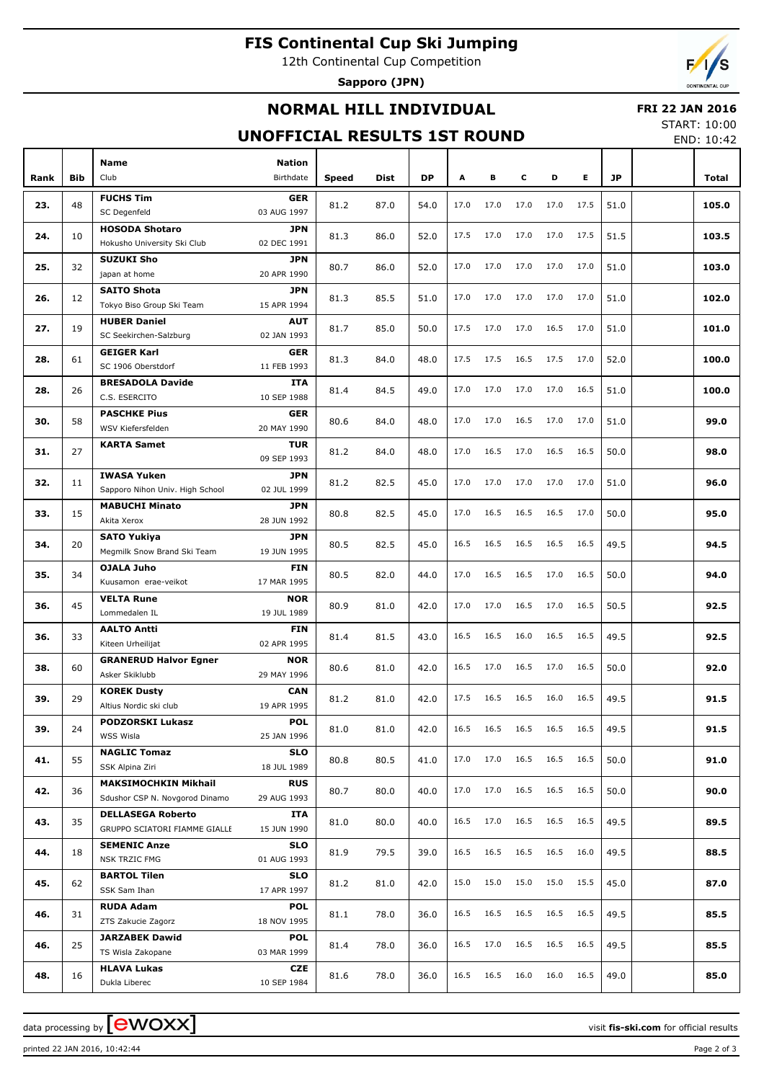# **FIS Continental Cup Ski Jumping**

12th Continental Cup Competition

**Sapporo (JPN)**



### **NORMAL HILL INDIVIDUAL**

#### **FRI 22 JAN 2016**

#### **UNOFFICIAL RESULTS 1ST ROUND**

START: 10:00 END: 10:42

| Rank | Bib | <b>Name</b><br>Club                             | <b>Nation</b><br>Birthdate | <b>Speed</b> | Dist | DP   | A    | в         | c    | D    | E.        | <b>JP</b> | Total |
|------|-----|-------------------------------------------------|----------------------------|--------------|------|------|------|-----------|------|------|-----------|-----------|-------|
|      |     |                                                 |                            |              |      |      |      |           |      |      |           |           |       |
| 23.  | 48  | <b>FUCHS Tim</b><br>SC Degenfeld                | <b>GER</b><br>03 AUG 1997  | 81.2         | 87.0 | 54.0 | 17.0 | 17.0      | 17.0 | 17.0 | 17.5      | 51.0      | 105.0 |
|      |     | <b>HOSODA Shotaro</b>                           | JPN                        |              |      |      |      |           |      |      |           |           |       |
| 24.  | 10  | Hokusho University Ski Club                     | 02 DEC 1991                | 81.3         | 86.0 | 52.0 | 17.5 | 17.0      | 17.0 | 17.0 | 17.5      | 51.5      | 103.5 |
| 25.  | 32  | <b>SUZUKI Sho</b>                               | JPN                        | 80.7         | 86.0 | 52.0 | 17.0 | 17.0      | 17.0 | 17.0 | 17.0      | 51.0      | 103.0 |
|      |     | japan at home                                   | 20 APR 1990                |              |      |      |      |           |      |      |           |           |       |
| 26.  | 12  | <b>SAITO Shota</b><br>Tokyo Biso Group Ski Team | <b>JPN</b><br>15 APR 1994  | 81.3         | 85.5 | 51.0 | 17.0 | 17.0      | 17.0 | 17.0 | 17.0      | 51.0      | 102.0 |
|      |     | <b>HUBER Daniel</b>                             | <b>AUT</b>                 |              |      |      |      |           |      |      |           |           |       |
| 27.  | 19  | SC Seekirchen-Salzburg                          | 02 JAN 1993                | 81.7         | 85.0 | 50.0 | 17.5 | 17.0      | 17.0 | 16.5 | 17.0      | 51.0      | 101.0 |
|      |     | <b>GEIGER Karl</b>                              | <b>GER</b>                 |              |      |      |      |           |      |      |           |           |       |
| 28.  | 61  | SC 1906 Oberstdorf                              | 11 FEB 1993                | 81.3         | 84.0 | 48.0 | 17.5 | 17.5      | 16.5 | 17.5 | 17.0      | 52.0      | 100.0 |
|      |     | <b>BRESADOLA Davide</b>                         | <b>ITA</b>                 |              |      |      |      |           |      |      |           |           |       |
| 28.  | 26  | C.S. ESERCITO                                   | 10 SEP 1988                | 81.4         | 84.5 | 49.0 | 17.0 | 17.0      | 17.0 | 17.0 | 16.5      | 51.0      | 100.0 |
|      |     | <b>PASCHKE Pius</b>                             |                            |              |      |      |      |           |      |      |           |           |       |
| 30.  | 58  | WSV Kiefersfelden                               | <b>GER</b><br>20 MAY 1990  | 80.6         | 84.0 | 48.0 | 17.0 | 17.0      | 16.5 | 17.0 | 17.0      | 51.0      | 99.0  |
|      |     |                                                 |                            |              |      |      |      |           |      |      |           |           |       |
| 31.  | 27  | <b>KARTA Samet</b>                              | <b>TUR</b><br>09 SEP 1993  | 81.2         | 84.0 | 48.0 | 17.0 | 16.5      | 17.0 | 16.5 | 16.5      | 50.0      | 98.0  |
|      |     | <b>IWASA Yuken</b>                              | <b>JPN</b>                 |              |      |      |      |           |      |      |           |           |       |
| 32.  | 11  | Sapporo Nihon Univ. High School                 | 02 JUL 1999                | 81.2         | 82.5 | 45.0 | 17.0 | 17.0      | 17.0 | 17.0 | 17.0      | 51.0      | 96.0  |
|      |     | <b>MABUCHI Minato</b>                           | <b>JPN</b>                 |              |      |      |      |           |      |      |           |           |       |
| 33.  | 15  | Akita Xerox                                     | 28 JUN 1992                | 80.8         | 82.5 | 45.0 | 17.0 | 16.5      | 16.5 | 16.5 | 17.0      | 50.0      | 95.0  |
|      |     | <b>SATO Yukiya</b>                              | <b>JPN</b>                 |              |      |      |      |           |      |      |           |           |       |
| 34.  | 20  | Megmilk Snow Brand Ski Team                     | 19 JUN 1995                | 80.5         | 82.5 | 45.0 | 16.5 | 16.5      | 16.5 | 16.5 | 16.5      | 49.5      | 94.5  |
|      |     | <b>OJALA Juho</b>                               | <b>FIN</b>                 |              |      |      |      |           |      |      |           |           |       |
| 35.  | 34  | Kuusamon erae-veikot                            | 17 MAR 1995                | 80.5         | 82.0 | 44.0 | 17.0 | 16.5      | 16.5 | 17.0 | 16.5      | 50.0      | 94.0  |
|      |     |                                                 |                            |              |      |      |      |           |      |      |           |           |       |
| 36.  | 45  | <b>VELTA Rune</b><br>Lommedalen IL              | <b>NOR</b><br>19 JUL 1989  | 80.9         | 81.0 | 42.0 | 17.0 | 17.0      | 16.5 | 17.0 | 16.5      | 50.5      | 92.5  |
|      |     |                                                 |                            |              |      |      |      |           |      |      |           |           |       |
| 36.  | 33  | <b>AALTO Antti</b><br>Kiteen Urheilijat         | <b>FIN</b><br>02 APR 1995  | 81.4         | 81.5 | 43.0 | 16.5 | 16.5      | 16.0 | 16.5 | 16.5      | 49.5      | 92.5  |
|      |     |                                                 |                            |              |      |      |      |           |      |      |           |           |       |
| 38.  | 60  | <b>GRANERUD Halvor Egner</b><br>Asker Skiklubb  | <b>NOR</b><br>29 MAY 1996  | 80.6         | 81.0 | 42.0 | 16.5 | 17.0      | 16.5 | 17.0 | 16.5      | 50.0      | 92.0  |
|      |     |                                                 | <b>CAN</b>                 |              |      |      |      |           |      |      |           |           |       |
| 39.  | 29  | <b>KOREK Dusty</b><br>Altius Nordic ski club    | 19 APR 1995                | 81.2         | 81.0 | 42.0 | 17.5 | 16.5      | 16.5 | 16.0 | 16.5      | 49.5      | 91.5  |
|      |     | <b>PODZORSKI Lukasz</b>                         | POL                        |              |      |      |      |           |      |      |           |           |       |
| 39.  | 24  | WSS Wisla                                       | 25 JAN 1996                | 81.0         | 81.0 | 42.0 | 16.5 | 16.5 16.5 |      |      | 16.5 16.5 | 49.5      | 91.5  |
|      |     | <b>NAGLIC Tomaz</b>                             | <b>SLO</b>                 |              |      |      |      |           |      |      |           |           |       |
| 41.  | 55  | SSK Alpina Ziri                                 | 18 JUL 1989                | 80.8         | 80.5 | 41.0 | 17.0 | 17.0      | 16.5 | 16.5 | 16.5      | 50.0      | 91.0  |
|      |     | <b>MAKSIMOCHKIN Mikhail</b>                     | <b>RUS</b>                 |              |      |      |      |           |      |      |           |           |       |
| 42.  | 36  | Sdushor CSP N. Novgorod Dinamo                  | 29 AUG 1993                | 80.7         | 80.0 | 40.0 | 17.0 | 17.0      | 16.5 | 16.5 | 16.5      | 50.0      | 90.0  |
|      |     | <b>DELLASEGA Roberto</b>                        |                            |              |      |      |      |           |      |      |           |           |       |
| 43.  | 35  | GRUPPO SCIATORI FIAMME GIALLE                   | ITA<br>15 JUN 1990         | 81.0         | 80.0 | 40.0 | 16.5 | 17.0      | 16.5 | 16.5 | 16.5      | 49.5      | 89.5  |
|      |     |                                                 |                            |              |      |      |      |           |      |      |           |           |       |
| 44.  | 18  | <b>SEMENIC Anze</b><br>NSK TRZIC FMG            | <b>SLO</b><br>01 AUG 1993  | 81.9         | 79.5 | 39.0 | 16.5 | 16.5      | 16.5 | 16.5 | 16.0      | 49.5      | 88.5  |
|      |     |                                                 |                            |              |      |      |      |           |      |      |           |           |       |
| 45.  | 62  | <b>BARTOL Tilen</b><br>SSK Sam Ihan             | <b>SLO</b><br>17 APR 1997  | 81.2         | 81.0 | 42.0 | 15.0 | 15.0      | 15.0 | 15.0 | 15.5      | 45.0      | 87.0  |
|      |     | <b>RUDA Adam</b>                                | <b>POL</b>                 |              |      |      |      |           |      |      |           |           |       |
| 46.  | 31  | ZTS Zakucie Zagorz                              | 18 NOV 1995                | 81.1         | 78.0 | 36.0 | 16.5 | 16.5      | 16.5 | 16.5 | 16.5      | 49.5      | 85.5  |
|      |     | <b>JARZABEK Dawid</b>                           | <b>POL</b>                 |              |      |      |      |           |      |      |           |           |       |
| 46.  | 25  | TS Wisla Zakopane                               | 03 MAR 1999                | 81.4         | 78.0 | 36.0 | 16.5 | 17.0      | 16.5 | 16.5 | 16.5      | 49.5      | 85.5  |
|      |     | <b>HLAVA Lukas</b>                              | <b>CZE</b>                 |              |      |      |      |           |      |      |           |           |       |
| 48.  | 16  | Dukla Liberec                                   | 10 SEP 1984                | 81.6         | 78.0 | 36.0 | 16.5 | 16.5      | 16.0 | 16.0 | 16.5      | 49.0      | 85.0  |
|      |     |                                                 |                            |              |      |      |      |           |      |      |           |           |       |

data processing by **CWOXX** and  $\overline{C}$  and  $\overline{C}$  and  $\overline{C}$  and  $\overline{C}$  and  $\overline{C}$  and  $\overline{C}$  and  $\overline{C}$  and  $\overline{C}$  and  $\overline{C}$  and  $\overline{C}$  and  $\overline{C}$  and  $\overline{C}$  and  $\overline{C}$  and  $\overline{C}$  and  $\overline{C}$